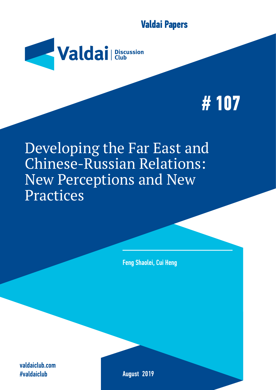**Valdai Papers**



# **# 107**

Developing the Far East and Chinese-Russian Relations: New Perceptions and New Practices

Feng Shaolei, Cui Heng

valdaiclub.com #valdaiclub

August 2019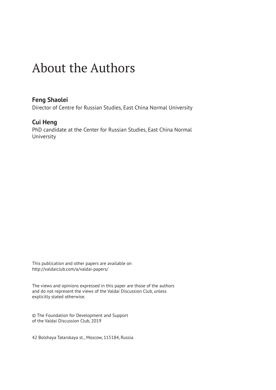### About the Authors

#### **Feng Shaolei**

Director of Centre for Russian Studies, East China Normal University

#### **Cui Heng**

PhD candidate at the Center for Russian Studies, East China Normal University

This publication and other papers are available on http://valdaiclub.com/a/valdai-papers/

The views and opinions expressed in this paper are those of the authors and do not represent the views of the Valdai Discussion Club, unless explicitly stated otherwise.

© The Foundation for Development and Support of the Valdai Discussion Club, 2019

42 Bolshaya Tatarskaya st., Moscow, 115184, Russia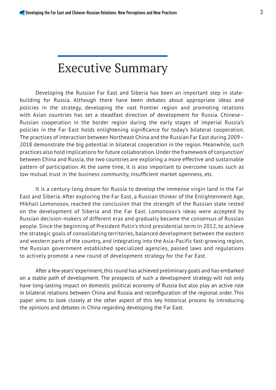## Executive Summary

Developing the Russian Far East and Siberia has been an important step in statebuilding for Russia. Although there have been debates about appropriate ideas and policies in the strategy, developing the vast frontier region and promoting relations with Asian countries has set a steadfast direction of development for Russia. Chinese– Russian cooperation in the border region during the early stages of imperial Russia's policies in the Far East holds enlightening significance for today's bilateral cooperation. The practices of interaction between Northeast China and the Russian Far East during 2009– 2018 demonstrate the big potential in bilateral cooperation in the region. Meanwhile, such practices also hold implications for future collaboration. Under the framework of 'conjunction' between China and Russia, the two countries are exploring a more effective and sustainable pattern of participation. At the same time, it is also important to overcome issues such as low mutual trust in the business community, insufficient market openness, etc.

It is a century-long dream for Russia to develop the immense virgin land in the Far East and Siberia. After exploring the Far East, a Russian thinker of the Enlightenment Age, Mikhail Lomonosov, reached the conclusion that the strength of the Russian state rested on the development of Siberia and the Far East. Lomonosov's ideas were accepted by Russian decision-makers of different eras and gradually became the consensus of Russian people. Since the beginning of President Putin's third presidential term in 2012, to achieve the strategic goals of consolidating territories, balanced development between the eastern and western parts of the country, and integrating into the Asia-Pacific fast-growing region, the Russian government established specialized agencies, passed laws and regulations to actively promote a new round of development strategy for the Far East.

After a few years' experiment, this round has achieved preliminary goals and has embarked on a stable path of development. The prospects of such a development strategy will not only have long-lasting impact on domestic political economy of Russia but also play an active role in bilateral relations between China and Russia and reconfiguration of the regional order. This paper aims to look closely at the other aspect of this key historical process by introducing the opinions and debates in China regarding developing the Far East.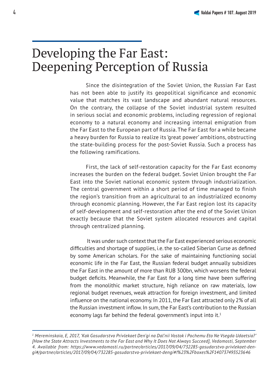#### Developing the Far East: Deepening Perception of Russia

Since the disintegration of the Soviet Union, the Russian Far East has not been able to justify its geopolitical significance and economic value that matches its vast landscape and abundant natural resources. On the contrary, the collapse of the Soviet industrial system resulted in serious social and economic problems, including regression of regional economy to a natural economy and increasing internal emigration from the Far East to the European part of Russia. The Far East for a while became a heavy burden for Russia to realize its 'great power' ambitions, obstructing the state-building process for the post-Soviet Russia. Such a process has the following ramifications.

First, the lack of self-restoration capacity for the Far East economy increases the burden on the federal budget. Soviet Union brought the Far East into the Soviet national economic system through industrialization. The central government within a short period of time managed to finish the region's transition from an agricultural to an industrialized economy through economic planning. However, the Far East region lost its capacity of self-development and self-restoration after the end of the Soviet Union exactly because that the Soviet system allocated resources and capital through centralized planning.

 It was under such context that the Far East experienced serious economic difficulties and shortage of supplies, i.e. the so-called Siberian Curse as defined by some American scholars. For the sake of maintaining functioning social economic life in the Far East, the Russian federal budget annually subsidizes the Far East in the amount of more than RUB 300bn, which worsens the federal budget deficits. Meanwhile, the Far East for a long time have been suffering from the monolithic market structure, high reliance on raw materials, low regional budget revenues, weak attraction for foreign investment, and limited influence on the national economy. In 2011, the Far East attracted only 2% of all the Russian investment inflow. In sum, the Far East's contribution to the Russian economy lags far behind the federal government's input into it.<sup>1</sup>

*<sup>1</sup> Mereminskaia, E, 2017, 'Kak Gosudarstvo Privlekaet Den'gi na Dal'nii Vostok i Pochemu Eto Ne Vsegda Udaetsia?' [How the State Attracts Investments to the Far East and Why It Does Not Always Succeed], Vedomosti, September 4. Available from: https://www.vedomosti.ru/partner/articles/2017/09/04/732285-gosudarstvo-privlekaet-dengi#/partner/articles/2017/09/04/732285-gosudarstvo-privlekaet-dengi#!%23%2Fboxes%2F140737493523646*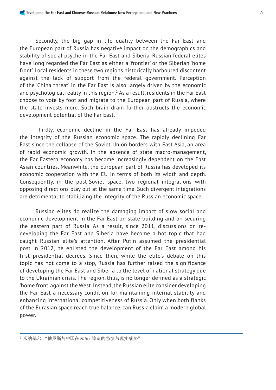Secondly, the big gap in life quality between the Far East and the European part of Russia has negative impact on the demographics and stability of social psyche in the Far East and Siberia. Russian federal elites have long regarded the Far East as either a 'frontier' or the Siberian 'home front'. Local residents in these two regions historically harboured discontent against the lack of support from the federal government. Perception of the 'China threat' in the Far East is also largely driven by the economic and psychological reality in this region. $^2$  As a result, residents in the Far East choose to vote by foot and migrate to the European part of Russia, where the state invests more. Such brain drain further obstructs the economic development potential of the Far East.

Thirdly, economic decline in the Far East has already impeded the integrity of the Russian economic space. The rapidly declining Far East since the collapse of the Soviet Union borders with East Asia, an area of rapid economic growth. In the absence of state macro-management, the Far Eastern economy has become increasingly dependent on the East Asian countries. Meanwhile, the European part of Russia has developed its economic cooperation with the EU in terms of both its width and depth. Consequently, in the post-Soviet space, two regional integrations with opposing directions play out at the same time. Such divergent integrations are detrimental to stabilizing the integrity of the Russian economic space.

Russian elites do realize the damaging impact of slow social and economic development in the Far East on state-building and on securing the eastern part of Russia. As a result, since 2011, discussions on redeveloping the Far East and Siberia have become a hot topic that had caught Russian elite's attention. After Putin assumed the presidential post in 2012, he enlisted the development of the Far East among his first presidential decrees. Since then, while the elite's debate on this topic has not come to a stop, Russia has further raised the significance of developing the Far East and Siberia to the level of national strategy due to the Ukrainian crisis. The region, thus, is no longer defined as a strategic 'home front' against the West. Instead, the Russian elite consider developing the Far East a necessary condition for maintaining internal stability and enhancing international competitiveness of Russia. Only when both flanks of the Eurasian space reach true balance, can Russia claim a modern global power.

*<sup>2</sup>* 米纳基尔:"俄罗斯与中国在远东:臆造的恐惧与现实威胁"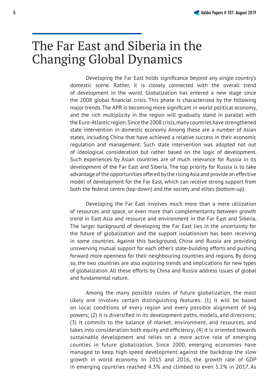#### The Far East and Siberia in the Changing Global Dynamics

Developing the Far East holds significance beyond any single country's domestic scene. Rather, it is closely connected with the overall trend of development in the world. Globalization has entered a new stage since the 2008 global financial crisis. This phase is characterized by the following major trends. The APR is becoming more significant in world political economy, and the rich multiplicity in the region will gradually stand in parallel with the Euro-Atlantic region. Since the 2008 crisis, many countries have strengthened state intervention in domestic economy. Among these are a number of Asian states, including China that have achieved a relative success in their economic regulation and management. Such state intervention was adopted not out of ideological consideration but rather based on the logic of development. Such experiences by Asian countries are of much relevance for Russia in its development of the Far East and Siberia. The top priority for Russia is to take advantage of the opportunities offered by the rising Asia and provide an effective model of development for the Far East, which can receive strong support from both the federal centre (top-down) and the society and elites (bottom-up).

Developing the Far East involves much more than a mere utilization of resources and space, or even more than complementarity between growth trend in East Asia and resource and environment in the Far East and Siberia. The larger background of developing the Far East lies in the uncertainty for the future of globalization and the support isolationism has been receiving in some countries. Against this background, China and Russia are providing unswerving mutual support for each other's state-building efforts and pushing forward more openness for their neighbouring countries and regions. By doing so, the two countries are also exploring trends and implications for new types of globalization. All these efforts by China and Russia address issues of global and fundamental nature.

Among the many possible routes of future globalization, the most likely one involves certain distinguishing features: (1) it will be based on local conditions of every region and every possible alignment of big powers; (2) it is diversified in its development paths, models, and directions; (3) it commits to the balance of market, environment, and resources, and takes into consideration both equity and efficiency; (4) it is oriented towards sustainable development and relies on a more active role of emerging counties in future globalization. Since 2000, emerging economies have managed to keep high-speed development against the backdrop the slow growth in world economy. In 2015 and 2016, the growth rate of GDP in emerging countries reached 4.3% and climbed to even 5.2% in 2017. As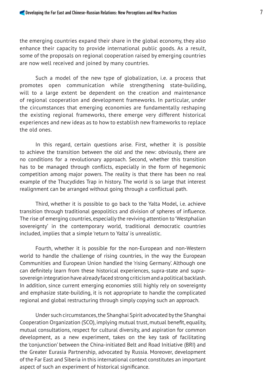the emerging countries expand their share in the global economy, they also enhance their capacity to provide international public goods. As a result, some of the proposals on regional cooperation raised by emerging countries are now well received and joined by many countries.

Such a model of the new type of globalization, i.e. a process that promotes open communication while strengthening state-building, will to a large extent be dependent on the creation and maintenance of regional cooperation and development frameworks. In particular, under the circumstances that emerging economies are fundamentally reshaping the existing regional frameworks, there emerge very different historical experiences and new ideas as to how to establish new frameworks to replace the old ones.

In this regard, certain questions arise. First, whether it is possible to achieve the transition between the old and the new: obviously, there are no conditions for a revolutionary approach. Second, whether this transition has to be managed through conflicts, especially in the form of hegemonic competition among major powers. The reality is that there has been no real example of the Thucydides Trap in history. The world is so large that interest realignment can be arranged without going through a conflictual path.

Third, whether it is possible to go back to the Yalta Model, i.e. achieve transition through traditional geopolitics and division of spheres of influence. The rise of emerging countries, especially the reviving attention to 'Westphalian sovereignty' in the contemporary world, traditional democratic countries included, implies that a simple 'return to Yalta' is unrealistic.

Fourth, whether it is possible for the non-European and non-Western world to handle the challenge of rising countries, in the way the European Communities and European Union handled the 'rising Germany'. Although one can definitely learn from these historical experiences, supra-state and suprasovereign integration have already faced strong criticism and a political backlash. In addition, since current emerging economies still highly rely on sovereignty and emphasize state-building, it is not appropriate to handle the complicated regional and global restructuring through simply copying such an approach.

Under such circumstances, the Shanghai Spirit advocated by the Shanghai Cooperation Organization (SCO), implying mutual trust, mutual benefit, equality, mutual consultations, respect for cultural diversity, and aspiration for common development, as a new experiment, takes on the key task of facilitating the 'conjunction' between the China-initiated Belt and Road Initiative (BRI) and the Greater Eurasia Partnership, advocated by Russia. Moreover, development of the Far East and Siberia in this international context constitutes an important aspect of such an experiment of historical significance.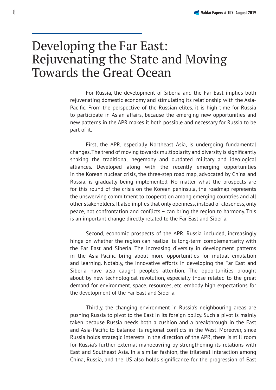#### Developing the Far East: Rejuvenating the State and Moving Towards the Great Ocean

For Russia, the development of Siberia and the Far East implies both rejuvenating domestic economy and stimulating its relationship with the Asia-Pacific. From the perspective of the Russian elites, it is high time for Russia to participate in Asian affairs, because the emerging new opportunities and new patterns in the APR makes it both possible and necessary for Russia to be part of it.

First, the APR, especially Northeast Asia, is undergoing fundamental changes. The trend of moving towards multipolarity and diversity is significantly shaking the traditional hegemony and outdated military and ideological alliances. Developed along with the recently emerging opportunities in the Korean nuclear crisis, the three-step road map, advocated by China and Russia, is gradually being implemented. No matter what the prospects are for this round of the crisis on the Korean peninsula, the roadmap represents the unswerving commitment to cooperation among emerging countries and all other stakeholders. It also implies that only openness, instead of closeness, only peace, not confrontation and conflicts  $-$  can bring the region to harmony. This is an important change directly related to the Far East and Siberia.

Second, economic prospects of the APR, Russia included, increasingly hinge on whether the region can realize its long-term complementarity with the Far East and Siberia. The increasing diversity in development patterns in the Asia-Pacific bring about more opportunities for mutual emulation and learning. Notably, the innovative efforts in developing the Far East and Siberia have also caught people's attention. The opportunities brought about by new technological revolution, especially those related to the great demand for environment, space, resources, etc. embody high expectations for the development of the Far East and Siberia.

Thirdly, the changing environment in Russia's neighbouring areas are pushing Russia to pivot to the East in its foreign policy. Such a pivot is mainly taken because Russia needs both a cushion and a breakthrough in the East and Asia-Pacific to balance its regional conflicts in the West. Moreover, since Russia holds strategic interests in the direction of the APR, there is still room for Russia's further external manoeuvring by strengthening its relations with East and Southeast Asia. In a similar fashion, the trilateral interaction among China, Russia, and the US also holds significance for the progression of East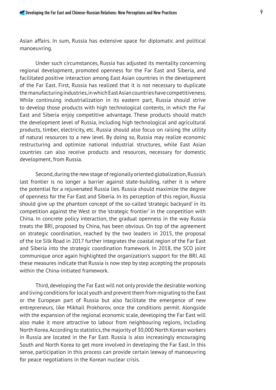Asian affairs. In sum, Russia has extensive space for diplomatic and political manoeuvring.

Under such circumstances, Russia has adjusted its mentality concerning regional development, promoted openness for the Far East and Siberia, and facilitated positive interaction among East Asian countries in the development of the Far East. First, Russia has realized that it is not necessary to duplicate the manufacturing industries, in which East Asian countries have competitiveness. While continuing industrialization in its eastern part, Russia should strive to develop those products with high technological contents, in which the Far East and Siberia enjoy competitive advantage. These products should match the development level of Russia, including high technological and agricultural products, timber, electricity, etc. Russia should also focus on raising the utility of natural resources to a new level. By doing so, Russia may realize economic restructuring and optimize national industrial structures, while East Asian countries can also receive products and resources, necessary for domestic development, from Russia.

Second, during the new stage of regionally oriented globalization, Russia's last frontier is no longer a barrier against state-building, rather it is where the potential for a rejuvenated Russia lies. Russia should maximize the degree of openness for the Far East and Siberia. In its perception of this region, Russia should give up the phantom concept of the so-called 'strategic backyard' in its competition against the West or the 'strategic frontier' in the conpetition with China. In concrete policy interaction, the gradual openness in the way Russia treats the BRI, proposed by China, has been obvious. On top of the agreement on strategic coordination, reached by the two leaders in 2015, the proposal of the Ice Silk Road in 2017 further integrates the coastal region of the Far East and Siberia into the strategic coordination framework. In 2018, the SCO joint communique once again highlighted the organization's support for the BRI. All these measures indicate that Russia is now step by step accepting the proposals within the China-initiated framework.

Third, developing the Far East will not only provide the desirable working and living conditions for local youth and prevent them from migrating to the East or the European part of Russia but also facilitate the emergence of new entrepreneurs, like Mikhail Prokhorov, once the conditions permit. Alongside with the expansion of the regional economic scale, developing the Far East will also make it more attractive to labour from neighbouring regions, including North Korea. According to statistics, the majority of 30,000 North Korean workers in Russia are located in the Far East. Russia is also increasingly encouraging South and North Korea to get more involved in developing the Far East. In this sense, participation in this process can provide certain leeway of manoeuvring for peace negotiations in the Korean nuclear crisis.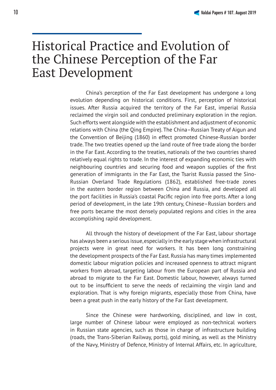#### Historical Practice and Evolution of the Chinese Perception of the Far East Development

China's perception of the Far East development has undergone a long evolution depending on historical conditions. First, perception of historical issues. After Russia acquired the territory of the Far East, imperial Russia reclaimed the virgin soil and conducted preliminary exploration in the region. Such efforts went alongside with the establishment and adjustment of economic relations with China (the Qing Empire). The China–Russian Treaty of Aigun and the Convention of Beijing (1860) in effect promoted Chinese-Russian border trade. The two treaties opened up the land route of free trade along the border in the Far East. According to the treaties, nationals of the two countries shared relatively equal rights to trade. In the interest of expanding economic ties with neighbouring countries and securing food and weapon supplies of the first generation of immigrants in the Far East, the Tsarist Russia passed the Sino-Russian Overland Trade Regulations (1862), established free-trade zones in the eastern border region between China and Russia, and developed all the port facilities in Russia's coastal Pacific region into free ports. After a long period of development, in the late 19th century, Chinese–Russian borders and free ports became the most densely populated regions and cities in the area accomplishing rapid development.

All through the history of development of the Far East, labour shortage has always been a serious issue, especially in the early stage when infrastructural projects were in great need for workers. It has been long constraining the development prospects of the Far East. Russia has many times implemented domestic labour migration policies and increased openness to attract migrant workers from abroad, targeting labour from the European part of Russia and abroad to migrate to the Far East. Domestic labour, however, always turned out to be insufficient to serve the needs of reclaiming the virgin land and exploration. That is why foreign migrants, especially those from China, have been a great push in the early history of the Far East development.

Since the Chinese were hardworking, disciplined, and low in cost, large number of Chinese labour were employed as non-technical workers in Russian state agencies, such as those in charge of infrastructure building (roads, the Trans-Siberian Railway, ports), gold mining, as well as the Ministry of the Navy, Ministry of Defence, Ministry of Internal Affairs, etc. In agriculture,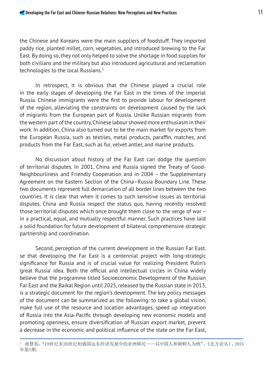the Chinese and Koreans were the main suppliers of foodstuff. They imported paddy rice, planted millet, corn, vegetables, and introduced brewing to the Far East. By doing so, they not only helped to solve the shortage in food supplies for both civilians and the military but also introduced agricultural and reclamation technologies to the local Russians.<sup>3</sup>

In retrospect, it is obvious that the Chinese played a crucial role in the early stages of developing the Far East in the times of the imperial Russia. Chinese immigrants were the first to provide labour for development of the region, alleviating the constraints on development caused by the lack of migrants from the European part of Russia. Unlike Russian migrants from the western part of the country, Chinese labour showed more enthusiasm in their work. In addition, China also turned out to be the main market for exports from the European Russia, such as textiles, metal products, paraffin, matches, and products from the Far East, such as fur, velvet antler, and marine products.

No discussion about history of the Far East can dodge the question of territorial disputes. In 2001, China and Russia signed the Treaty of Good-Neighbourliness and Friendly Cooperation and in 2004 – the Supplementary Agreement on the Eastern Section of the China–Russia Boundary Line. These two documents represent full demarcation of all border lines between the two countries. It is clear that when it comes to such sensitive issues as territorial disputes, China and Russia respect the status quo, having recently resolved those territorial disputes which once brought them close to the verge of war – in a practical, equal, and mutually respectful manner. Such practices have laid a solid foundation for future development of bilateral comprehensive strategic partnership and coordination.

Second, perception of the current development in the Russian Far East. se that developing the Far East is a centennial project with long-strategic significance for Russia and is of crucial value for realizing President Putin's 'great Russia' idea. Both the official and intellectual circles in China widely believe that the programme titled Socioeconomic Development of the Russian Far East and the Baikal Region until 2025, released by the Russian state in 2013, is a strategic document for the region's development. The key policy messages of the document can be summarized as the following: to take a global vision, make full use of the resource and location advantages, speed up integration of Russia into the Asia-Pacific through developing new economic models and promoting openness, ensure diversification of Russian export market, prevent a decrease in the economic and political influence of the state on the Far East,

<sup>3</sup> 南慧英:"19世纪末20世纪初俄国远东经济发展中的亚洲移民——以中国人和朝鲜人为例",《北方论丛》,2015 年第5期。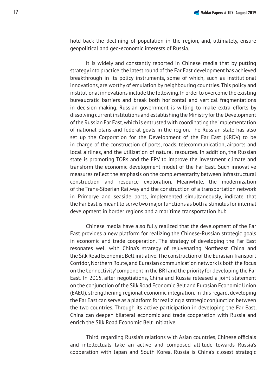hold back the declining of population in the region, and, ultimately, ensure geopolitical and geo-economic interests of Russia.

It is widely and constantly reported in Chinese media that by putting strategy into practice, the latest round of the Far East development has achieved breakthrough in its policy instruments, some of which, such as institutional innovations, are worthy of emulation by neighbouring countries. This policy and institutional innovations include the following. In order to overcome the existing bureaucratic barriers and break both horizontal and vertical fragmentations in decision-making, Russian government is willing to make extra efforts by dissolving current institutions and establishing the Ministry for the Development of the Russian Far East, which is entrusted with coordinating the implementation of national plans and federal goals in the region. The Russian state has also set up the Corporation for the Development of the Far East (KRDV) to be in charge of the construction of ports, roads, telecommunication, airports and local airlines, and the utilization of natural resources. In addition, the Russian state is promoting TORs and the FPV to improve the investment climate and transform the economic development model of the Far East. Such innovative measures reflect the emphasis on the complementarity between infrastructural construction and resource exploration. Meanwhile, the modernization of the Trans-Siberian Railway and the construction of a transportation network in Primorye and seaside ports, implemented simultaneously, indicate that the Far East is meant to serve two major functions as both a stimulus for internal development in border regions and a maritime transportation hub.

Chinese media have also fully realized that the development of the Far East provides a new platform for realizing the Chinese-Russian strategic goals in economic and trade cooperation. The strategy of developing the Far East resonates well with China's strategy of rejuvenating Northeast China and the Silk Road Economic Belt initiative. The construction of the Eurasian Transport Corridor, Northern Route, and Eurasian communication network is both the focus on the 'connectivity' component in the BRI and the priority for developing the Far East. In 2015, after negotiations, China and Russia released a joint statement on the conjunction of the Silk Road Economic Belt and Eurasian Economic Union (EAEU), strengthening regional economic integration. In this regard, developing the Far East can serve as a platform for realizing a strategic conjunction between the two countries. Through its active participation in developing the Far East, China can deepen bilateral economic and trade cooperation with Russia and enrich the Silk Road Economic Belt Initiative.

Third, regarding Russia's relations with Asian countries, Chinese officials and intellectuals take an active and composed attitude towards Russia's cooperation with Japan and South Korea. Russia is China's closest strategic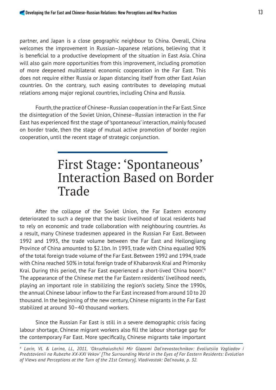partner, and Japan is a close geographic neighbour to China. Overall, China welcomes the improvement in Russian–Japanese relations, believing that it is beneficial to a productive development of the situation in East Asia. China will also gain more opportunities from this improvement, including promotion of more deepened multilateral economic cooperation in the Far East. This does not require either Russia or Japan distancing itself from other East Asian countries. On the contrary, such easing contributes to developing mutual relations among major regional countries, including China and Russia.

Fourth, the practice of Chinese–Russian cooperation in the Far East. Since the disintegration of the Soviet Union, Chinese–Russian interaction in the Far East has experienced first the stage of 'spontaneous' interaction, mainly focused on border trade, then the stage of mutual active promotion of border region cooperation, until the recent stage of strategic conjunction.

#### First Stage: 'Spontaneous' Interaction Based on Border Trade

After the collapse of the Soviet Union, the Far Eastern economy deteriorated to such a degree that the basic livelihood of local residents had to rely on economic and trade collaboration with neighbouring countries. As a result, many Chinese tradesmen appeared in the Russian Far East. Between 1992 and 1993, the trade volume between the Far East and Heilongjiang Province of China amounted to \$2.1bn. In 1993, trade with China equalled 90% of the total foreign trade volume of the Far East. Between 1992 and 1994, trade with China reached 50% in total foreign trade of Khabarovsk Krai and Primorsky Krai. During this period, the Far East experienced a short-lived 'China boom'.4 The appearance of the Chinese met the Far Eastern residents' livelihood needs, playing an important role in stabilizing the region's society. Since the 1990s, the annual Chinese labour inflow to the Far East increased from around 10 to 20 thousand. In the beginning of the new century, Chinese migrants in the Far East stabilized at around 30–40 thousand workers.

Since the Russian Far East is still in a severe demographic crisis facing labour shortage, Chinese migrant workers also fill the labour shortage gap for the contemporary Far East. More specifically, Chinese migrants take important

*4 Larin, VL & Larina, LL, 2011, 'Okruzhaiushchii Mir Glazami Dal'nevostochnikov: Evoliutsiia Vzgliadov i Predstavlenii na Rubezhe XX-XXI Vekov' [The Surrounding World in the Eyes of Far Eastern Residents: Evolution of Views and Perceptions at the Turn of the 21st Century], Vladivostok: Dal'nauka, p. 32.*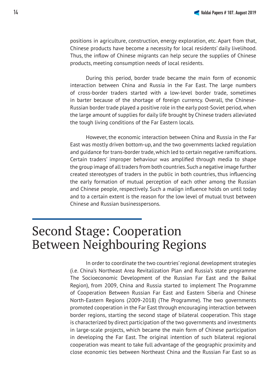positions in agriculture, construction, energy exploration, etc. Apart from that, Chinese products have become a necessity for local residents' daily livelihood. Thus, the inflow of Chinese migrants can help secure the supplies of Chinese products, meeting consumption needs of local residents.

During this period, border trade became the main form of economic interaction between China and Russia in the Far East. The large numbers of cross-border traders started with a low-level border trade, sometimes in barter because of the shortage of foreign currency. Overall, the Chinese-Russian border trade played a positive role in the early post-Soviet period, when the large amount of supplies for daily life brought by Chinese traders alleviated the tough living conditions of the Far Eastern locals.

However, the economic interaction between China and Russia in the Far East was mostly driven bottom-up, and the two governments lacked regulation and quidance for trans-border trade, which led to certain negative ramifications. Certain traders' improper behaviour was amplified through media to shape the group image of all traders from both countries. Such a negative image further created stereotypes of traders in the public in both countries, thus influencing the early formation of mutual perception of each other among the Russian and Chinese people, respectively. Such a malign influence holds on until today and to a certain extent is the reason for the low level of mutual trust between Chinese and Russian businesspersons.

### Second Stage: Cooperation Between Neighbouring Regions

In order to coordinate the two countries' regional development strategies (i.e. China's Northeast Area Revitalization Plan and Russia's state programme The Socioeconomic Development of the Russian Far East and the Baikal Region), from 2009, China and Russia started to implement The Programme of Cooperation Between Russian Far East and Eastern Siberia and Chinese North-Eastern Regions (2009-2018) (The Programme). The two governments promoted cooperation in the Far East through encouraging interaction between border regions, starting the second stage of bilateral cooperation. This stage is characterized by direct participation of the two governments and investments in large-scale projects, which became the main form of Chinese participation in developing the Far East. The original intention of such bilateral regional cooperation was meant to take full advantage of the geographic proximity and close economic ties between Northeast China and the Russian Far East so as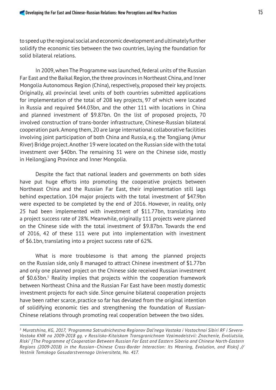to speed up the regional social and economic development and ultimately further solidify the economic ties between the two countries, laying the foundation for solid bilateral relations.

In 2009, when The Programme was launched, federal units of the Russian Far East and the Baikal Region, the three provinces in Northeast China, and Inner Mongolia Autonomous Region (China), respectively, proposed their key projects. Originally, all provincial level units of both countries submitted applications for implementation of the total of 208 key projects, 97 of which were located in Russia and required \$44.03bn, and the other 111 with locations in China and planned investment of \$9.87bn. On the list of proposed projects, 70 involved construction of trans-border infrastructure, Chinese-Russian bilateral cooperation park. Among them, 20 are large international collaborative facilities involving joint participation of both China and Russia, e.g. the Tongjiang (Amur River) Bridge project. Another 19 were located on the Russian side with the total investment over \$40bn. The remaining 31 were on the Chinese side, mostly in Heilongjiang Province and Inner Mongolia.

Despite the fact that national leaders and governments on both sides have put huge efforts into promoting the cooperative projects between Northeast China and the Russian Far East, their implementation still lags behind expectation. 104 major projects with the total investment of \$47.9bn were expected to be completed by the end of 2016. However, in reality, only 25 had been implemented with investment of \$11.77bn, translating into a project success rate of 28%. Meanwhile, originally 111 projects were planned on the Chinese side with the total investment of \$9.87bn. Towards the end of 2016, 42 of these 111 were put into implementation with investment of \$6.1bn, translating into a project success rate of 62%.

What is more troublesome is that among the planned projects on the Russian side, only 8 managed to attract Chinese investment of \$1.77bn and only one planned project on the Chinese side received Russian investment of \$0.63bn.<sup>5</sup> Reality implies that projects within the cooperation framework between Northeast China and the Russian Far East have been mostly domestic investment projects for each side. Since genuine bilateral cooperation projects have been rather scarce, practice so far has deviated from the original intention of solidifying economic ties and strengthening the foundation of Russian-Chinese relations through promoting real cooperation between the two sides.

*<sup>5</sup> Muratshina, KG, 2017, 'Programma Sotrudnichestva Regionov Dal'nego Vostoka i Vostochnoi Sibiri RF i Severo-Vostoka KNR na 2009-2018 gg. v Rossiisko-Kitaiskom Transgranichnom Vzaimodeistvii: Znachenie, Evoliutsiia, Riski' [The Programme of Cooperation Between Russian Far East and Eastern Siberia and Chinese North-Eastern Regions (2009-2018) in the Russian–Chinese Cross-Border Interaction: Its Meaning, Evolution, and Risks] // Vestnik Tomskogo Gosudarstvennogo Universiteta, No. 417.*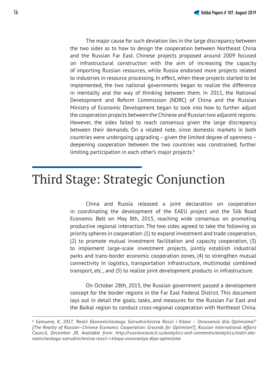The major cause for such deviation lies in the large discrepancy between the two sides as to how to design the cooperation between Northeast China and the Russian Far East. Chinese projects proposed around 2009 focused on infrastructural construction with the aim of increasing the capacity of importing Russian resources, while Russia endorsed more projects related to industries in resource processing. In effect, when these projects started to be implemented, the two national governments began to realize the difference in mentality and the way of thinking between them. In 2011, the National Development and Reform Commission (NDRC) of China and the Russian

Ministry of Economic Development began to look into how to further adjust the cooperation projects between the Chinese and Russian two adjacent regions. However, the sides failed to reach consensus given the large discrepancy between their demands. On a related note, since domestic markets in both countries were undergoing upgrading – given the limited degree of openness – deepening cooperation between the two countries was constrained, further

#### Third Stage: Strategic Conjunction

limiting participation in each other's major projects.6

China and Russia released a joint declaration on cooperation in coordinating the development of the EAEU project and the Silk Road Economic Belt on May 8th, 2015, reaching wide consensus on promoting productive regional interaction. The two sides agreed to take the following as priority spheres in cooperation: (1) to expand investment and trade cooperation, (2) to promote mutual investment facilitation and capacity cooperation, (3) to implement large-scale investment projects, jointly establish industrial parks and trans-border economic cooperation zones, (4) to strengthen mutual connectivity in logistics, transportation infrastructure, multimodal combined transport, etc., and (5) to realize joint development products in infrastructure.

On October 28th, 2015, the Russian government passed a development concept for the border regions in the Far East Federal District. This document lays out in detail the goals, tasks, and measures for the Russian Far East and the Baikal region to conduct cross-regional cooperation with Northeast China.

*<sup>6</sup> Gemueva, K, 2017, 'Realii Ekonomicheskogo Sotrudnichestva Rossii i Kitaia – Osnovaniia dlia Optimizma?' [The Reality of Russian–Chinese Economic Cooperation: Grounds for Optimism?], Russian International Affairs Council, December 28. Available from: http://russiancouncil.ru/analytics-and-comments/analytics/realii-ekonomicheskogo-sotrudnichestva-rossii-i-kitaya-osnovaniya-dlya-optimizma*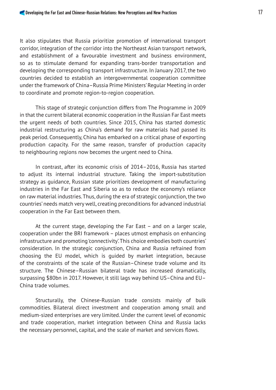It also stipulates that Russia prioritize promotion of international transport corridor, integration of the corridor into the Northeast Asian transport network, and establishment of a favourable investment and business environment, so as to stimulate demand for expanding trans-border transportation and developing the corresponding transport infrastructure. In January 2017, the two countries decided to establish an intergovernmental cooperation committee under the framework of China–Russia Prime Ministers' Regular Meeting in order to coordinate and promote region-to-region cooperation.

This stage of strategic conjunction differs from The Programme in 2009 in that the current bilateral economic cooperation in the Russian Far East meets the urgent needs of both countries. Since 2015, China has started domestic industrial restructuring as China's demand for raw materials had passed its peak period. Consequently, China has embarked on a critical phase of exporting production capacity. For the same reason, transfer of production capacity to neighbouring regions now becomes the urgent need to China.

In contrast, after its economic crisis of 2014–2016, Russia has started to adjust its internal industrial structure. Taking the import-substitution strategy as guidance, Russian state prioritizes development of manufacturing industries in the Far East and Siberia so as to reduce the economy's reliance on raw material industries. Thus, during the era of strategic conjunction, the two countries' needs match very well, creating preconditions for advanced industrial cooperation in the Far East between them.

At the current stage, developing the Far East – and on a larger scale, cooperation under the BRI framework – places utmost emphasis on enhancing infrastructure and promoting 'connectivity'. This choice embodies both countries' consideration. In the strategic conjunction, China and Russia refrained from choosing the EU model, which is guided by market integration, because of the constraints of the scale of the Russian–Chinese trade volume and its structure. The Chinese–Russian bilateral trade has increased dramatically, surpassing \$80bn in 2017. However, it still lags way behind US–China and EU– China trade volumes.

Structurally, the Chinese-Russian trade consists mainly of bulk commodities. Bilateral direct investment and cooperation among small and medium-sized enterprises are very limited. Under the current level of economic and trade cooperation, market integration between China and Russia lacks the necessary personnel, capital, and the scale of market and services flows.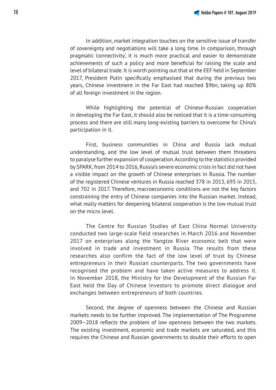In addition, market integration touches on the sensitive issue of transfer of sovereignty and negotiations will take a long time. In comparison, through pragmatic 'connectivity', it is much more practical and easier to demonstrate achievements of such a policy and more beneficial for raising the scale and level of bilateral trade. It is worth pointing out that at the EEF held in September 2017, President Putin specifically emphasised that during the previous two years, Chinese investment in the Far East had reached \$9bn, taking up 80% of all foreign investment in the region.

While highlighting the potential of Chinese-Russian cooperation in developing the Far East, it should also be noticed that it is a time-consuming process and there are still many long-existing barriers to overcome for China's participation in it.

First, business communities in China and Russia lack mutual understanding, and the low level of mutual trust between them threatens to paralyse further expansion of cooperation. According to the statistics provided by SPARK, from 2014 to 2016, Russia's severe economic crisis in fact did not have a visible impact on the growth of Chinese enterprises in Russia. The number of the registered Chinese ventures in Russia reached 378 in 2013, 693 in 2015, and 702 in 2017. Therefore, macroeconomic conditions are not the key factors constraining the entry of Chinese companies into the Russian market. Instead, what really matters for deepening bilateral cooperation is the low mutual trust on the micro level.

The Centre for Russian Studies of East China Normal University conducted two large-scale field researches in March 2016 and November 2017 on enterprises along the Yangtze River economic belt that were involved in trade and investment in Russia. The results from these researches also confirm the fact of the low level of trust by Chinese entrepreneurs in their Russian counterparts. The two governments have recognised the problem and have taken active measures to address it. In November 2018, the Ministry for the Development of the Russian Far East held the Day of Chinese Investors to promote direct dialogue and exchanges between entrepreneurs of both countries.

Second, the degree of openness between the Chinese and Russian markets needs to be further improved. The implementation of The Programme 2009–2018 reflects the problem of low openness between the two markets. The existing investment, economic and trade markets are saturated, and this requires the Chinese and Russian governments to double their efforts to open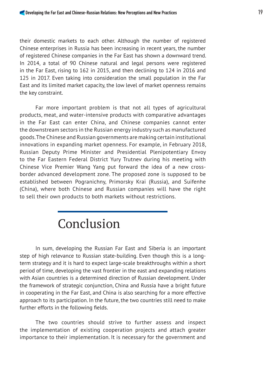their domestic markets to each other. Although the number of registered Chinese enterprises in Russia has been increasing in recent years, the number of registered Chinese companies in the Far East has shown a downward trend. In 2014, a total of 90 Chinese natural and legal persons were registered in the Far East, rising to 162 in 2015, and then declining to 124 in 2016 and 125 in 2017. Even taking into consideration the small population in the Far East and its limited market capacity, the low level of market openness remains the key constraint.

Far more important problem is that not all types of agricultural products, meat, and water-intensive products with comparative advantages in the Far East can enter China, and Chinese companies cannot enter the downstream sectors in the Russian energy industry such as manufactured goods. The Chinese and Russian governments are making certain institutional innovations in expanding market openness. For example, in February 2018, Russian Deputy Prime Minister and Presidential Plenipotentiary Envoy to the Far Eastern Federal District Yury Trutnev during his meeting with Chinese Vice Premier Wang Yang put forward the idea of a new crossborder advanced development zone. The proposed zone is supposed to be established between Pogranichny, Primorsky Krai (Russia), and Suifenhe (China), where both Chinese and Russian companies will have the right to sell their own products to both markets without restrictions.

### Conclusion

In sum, developing the Russian Far East and Siberia is an important step of high relevance to Russian state-building. Even though this is a longterm strategy and it is hard to expect large-scale breakthroughs within a short period of time, developing the vast frontier in the east and expanding relations with Asian countries is a determined direction of Russian development. Under the framework of strategic conjunction, China and Russia have a bright future in cooperating in the Far East, and China is also searching for a more effective approach to its participation. In the future, the two countries still need to make further efforts in the following fields.

The two countries should strive to further assess and inspect the implementation of existing cooperation projects and attach greater importance to their implementation. It is necessary for the government and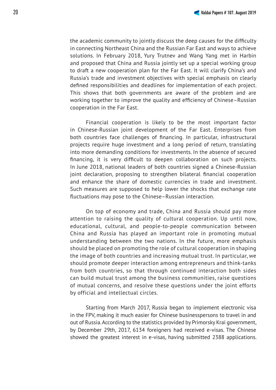the academic community to jointly discuss the deep causes for the difficulty in connecting Northeast China and the Russian Far East and ways to achieve solutions. In February 2018, Yury Trutnev and Wang Yang met in Harbin and proposed that China and Russia jointly set up a special working group to draft a new cooperation plan for the Far East. It will clarify China's and Russia's trade and investment objectives with special emphasis on clearly defined responsibilities and deadlines for implementation of each project. This shows that both governments are aware of the problem and are working together to improve the quality and efficiency of Chinese–Russian cooperation in the Far East.

Financial cooperation is likely to be the most important factor in Chinese-Russian joint development of the Far East. Enterprises from both countries face challenges of financing. In particular, infrastructural projects require huge investment and a long period of return, translating into more demanding conditions for investments. In the absence of secured financing, it is very difficult to deepen collaboration on such projects. In June 2018, national leaders of both countries signed a Chinese-Russian joint declaration, proposing to strengthen bilateral financial cooperation and enhance the share of domestic currencies in trade and investment. Such measures are supposed to help lower the shocks that exchange rate fluctuations may pose to the Chinese-Russian interaction.

On top of economy and trade, China and Russia should pay more attention to raising the quality of cultural cooperation. Up until now, educational, cultural, and people-to-people communication between China and Russia has played an important role in promoting mutual understanding between the two nations. In the future, more emphasis should be placed on promoting the role of cultural cooperation in shaping the image of both countries and increasing mutual trust. In particular, we should promote deeper interaction among entrepreneurs and think-tanks from both countries, so that through continued interaction both sides can build mutual trust among the business communities, raise questions of mutual concerns, and resolve these questions under the joint efforts by official and intellectual circles.

Starting from March 2017, Russia began to implement electronic visa in the FPV, making it much easier for Chinese businesspersons to travel in and out of Russia. According to the statistics provided by Primorsky Krai government, by December 29th, 2017, 6134 foreigners had received e-visas. The Chinese showed the greatest interest in e-visas, having submitted 2388 applications.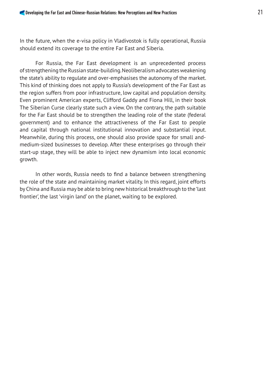In the future, when the e-visa policy in Vladivostok is fully operational, Russia should extend its coverage to the entire Far East and Siberia.

For Russia, the Far East development is an unprecedented process of strengthening the Russian state-building. Neoliberalism advocates weakening the state's ability to regulate and over-emphasises the autonomy of the market. This kind of thinking does not apply to Russia's development of the Far East as the region suffers from poor infrastructure, low capital and population density. Even prominent American experts, Clifford Gaddy and Fiona Hill, in their book The Siberian Curse clearly state such a view. On the contrary, the path suitable for the Far East should be to strengthen the leading role of the state (federal government) and to enhance the attractiveness of the Far East to people and capital through national institutional innovation and substantial input. Meanwhile, during this process, one should also provide space for small andmedium-sized businesses to develop. After these enterprises go through their start-up stage, they will be able to inject new dynamism into local economic growth.

In other words, Russia needs to find a balance between strengthening the role of the state and maintaining market vitality. In this regard, joint efforts by China and Russia may be able to bring new historical breakthrough to the 'last frontier', the last 'virgin land' on the planet, waiting to be explored.